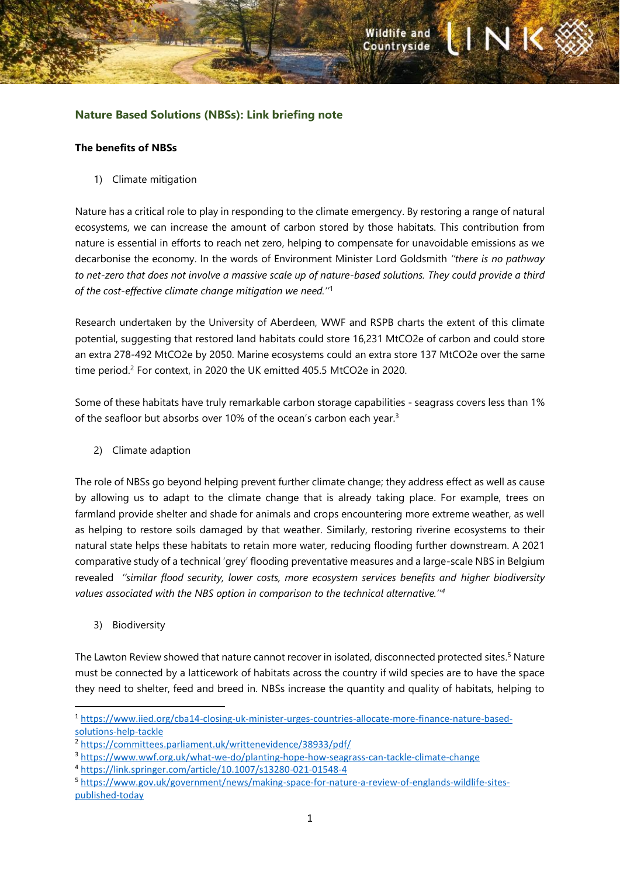# **Nature Based Solutions (NBSs): Link briefing note**

### **The benefits of NBSs**

1) Climate mitigation

Nature has a critical role to play in responding to the climate emergency. By restoring a range of natural ecosystems, we can increase the amount of carbon stored by those habitats. This contribution from nature is essential in efforts to reach net zero, helping to compensate for unavoidable emissions as we decarbonise the economy. In the words of Environment Minister Lord Goldsmith *''there is no pathway to net-zero that does not involve a massive scale up of nature-based solutions. They could provide a third of the cost-effective climate change mitigation we need.''*<sup>1</sup>

Research undertaken by the University of Aberdeen, WWF and RSPB charts the extent of this climate potential, suggesting that restored land habitats could store 16,231 MtCO2e of carbon and could store an extra 278-492 MtCO2e by 2050. Marine ecosystems could an extra store 137 MtCO2e over the same time period.<sup>2</sup> For context, in 2020 the UK emitted 405.5 MtCO2e in 2020.

Some of these habitats have truly remarkable carbon storage capabilities - seagrass covers less than 1% of the seafloor but absorbs over 10% of the ocean's carbon each year.<sup>3</sup>

2) Climate adaption

The role of NBSs go beyond helping prevent further climate change; they address effect as well as cause by allowing us to adapt to the climate change that is already taking place. For example, trees on farmland provide shelter and shade for animals and crops encountering more extreme weather, as well as helping to restore soils damaged by that weather. Similarly, restoring riverine ecosystems to their natural state helps these habitats to retain more water, reducing flooding further downstream. A 2021 comparative study of a technical 'grey' flooding preventative measures and a large-scale NBS in Belgium revealed *''similar flood security, lower costs, more ecosystem services benefits and higher biodiversity values associated with the NBS option in comparison to the technical alternative.''<sup>4</sup>*

3) Biodiversity

The Lawton Review showed that nature cannot recover in isolated, disconnected protected sites.<sup>5</sup> Nature must be connected by a latticework of habitats across the country if wild species are to have the space they need to shelter, feed and breed in. NBSs increase the quantity and quality of habitats, helping to

<sup>1</sup> [https://www.iied.org/cba14-closing-uk-minister-urges-countries-allocate-more-finance-nature-based](https://www.iied.org/cba14-closing-uk-minister-urges-countries-allocate-more-finance-nature-based-solutions-help-tackle)[solutions-help-tackle](https://www.iied.org/cba14-closing-uk-minister-urges-countries-allocate-more-finance-nature-based-solutions-help-tackle)

<sup>2</sup> <https://committees.parliament.uk/writtenevidence/38933/pdf/>

<sup>3</sup> <https://www.wwf.org.uk/what-we-do/planting-hope-how-seagrass-can-tackle-climate-change>

<sup>4</sup> <https://link.springer.com/article/10.1007/s13280-021-01548-4>

<sup>5</sup> [https://www.gov.uk/government/news/making-space-for-nature-a-review-of-englands-wildlife-sites](https://www.gov.uk/government/news/making-space-for-nature-a-review-of-englands-wildlife-sites-published-today)[published-today](https://www.gov.uk/government/news/making-space-for-nature-a-review-of-englands-wildlife-sites-published-today)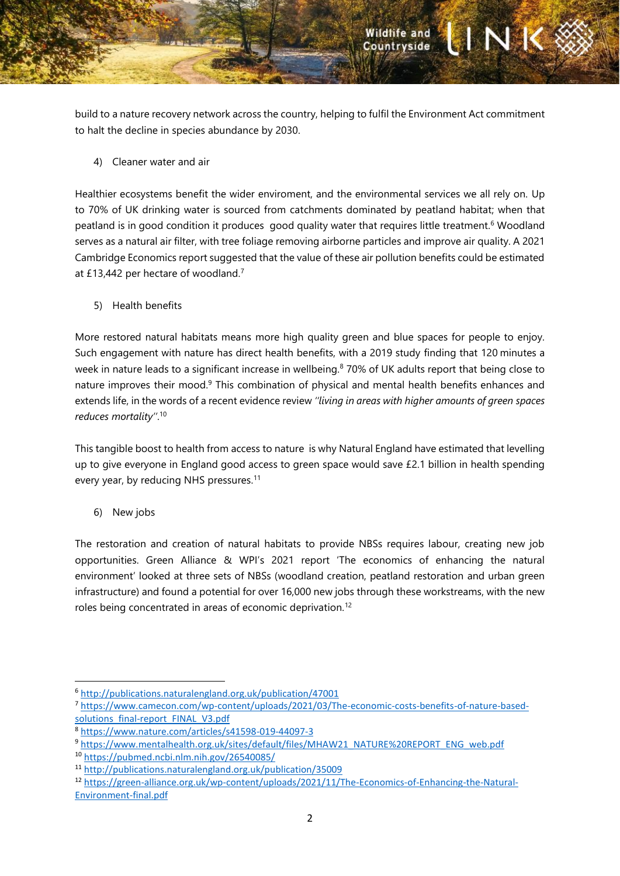build to a nature recovery network across the country, helping to fulfil the Environment Act commitment to halt the decline in species abundance by 2030.

Wildlife and<br>Countryside

ANK

4) Cleaner water and air

Healthier ecosystems benefit the wider enviroment, and the environmental services we all rely on. Up to 70% of UK drinking water is sourced from catchments dominated by peatland habitat; when that peatland is in good condition it produces good quality water that requires little treatment.<sup>6</sup> Woodland serves as a natural air filter, with tree foliage removing airborne particles and improve air quality. A 2021 Cambridge Economics report suggested that the value of these air pollution benefits could be estimated at £13,442 per hectare of woodland.<sup>7</sup>

5) Health benefits

More restored natural habitats means more high quality green and blue spaces for people to enjoy. Such engagement with nature has direct health benefits, with a 2019 study finding that 120 minutes a week in nature leads to a significant increase in wellbeing.<sup>8</sup> 70% of UK adults report that being close to nature improves their mood.<sup>9</sup> This combination of physical and mental health benefits enhances and extends life, in the words of a recent evidence review *''living in areas with higher amounts of green spaces reduces mortality''*. 10

This tangible boost to health from access to nature is why Natural England have estimated that levelling up to give everyone in England good access to green space would save £2.1 billion in health spending every year, by reducing NHS pressures.<sup>11</sup>

6) New jobs

The restoration and creation of natural habitats to provide NBSs requires labour, creating new job opportunities. Green Alliance & WPI's 2021 report 'The economics of enhancing the natural environment' looked at three sets of NBSs (woodland creation, peatland restoration and urban green infrastructure) and found a potential for over 16,000 new jobs through these workstreams, with the new roles being concentrated in areas of economic deprivation.<sup>12</sup>

<sup>6</sup> <http://publications.naturalengland.org.uk/publication/47001>

<sup>7</sup> [https://www.camecon.com/wp-content/uploads/2021/03/The-economic-costs-benefits-of-nature-based](https://www.camecon.com/wp-content/uploads/2021/03/The-economic-costs-benefits-of-nature-based-solutions_final-report_FINAL_V3.pdf)[solutions\\_final-report\\_FINAL\\_V3.pdf](https://www.camecon.com/wp-content/uploads/2021/03/The-economic-costs-benefits-of-nature-based-solutions_final-report_FINAL_V3.pdf)

<sup>8</sup> <https://www.nature.com/articles/s41598-019-44097-3>

<sup>9</sup> [https://www.mentalhealth.org.uk/sites/default/files/MHAW21\\_NATURE%20REPORT\\_ENG\\_web.pdf](https://www.mentalhealth.org.uk/sites/default/files/MHAW21_NATURE%20REPORT_ENG_web.pdf)

<sup>10</sup> <https://pubmed.ncbi.nlm.nih.gov/26540085/>

<sup>11</sup> <http://publications.naturalengland.org.uk/publication/35009>

<sup>12</sup> [https://green-alliance.org.uk/wp-content/uploads/2021/11/The-Economics-of-Enhancing-the-Natural-](https://green-alliance.org.uk/wp-content/uploads/2021/11/The-Economics-of-Enhancing-the-Natural-Environment-final.pdf)[Environment-final.pdf](https://green-alliance.org.uk/wp-content/uploads/2021/11/The-Economics-of-Enhancing-the-Natural-Environment-final.pdf)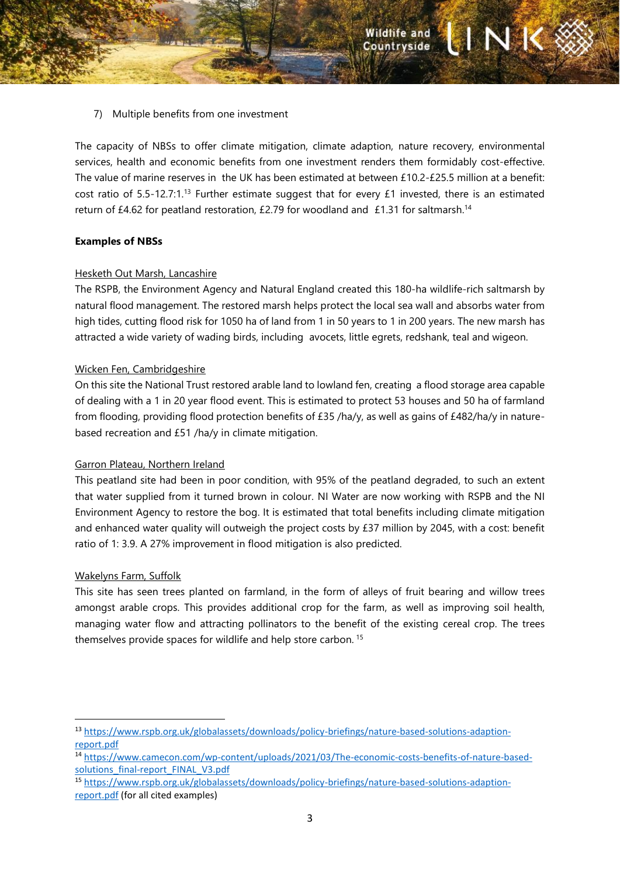7) Multiple benefits from one investment

The capacity of NBSs to offer climate mitigation, climate adaption, nature recovery, environmental services, health and economic benefits from one investment renders them formidably cost-effective. The value of marine reserves in the UK has been estimated at between £10.2-£25.5 million at a benefit: cost ratio of 5.5-12.7:1.<sup>13</sup> Further estimate suggest that for every £1 invested, there is an estimated return of £4.62 for peatland restoration, £2.79 for woodland and £1.31 for saltmarsh.<sup>14</sup>

## **Examples of NBSs**

## Hesketh Out Marsh, Lancashire

The RSPB, the Environment Agency and Natural England created this 180-ha wildlife-rich saltmarsh by natural flood management. The restored marsh helps protect the local sea wall and absorbs water from high tides, cutting flood risk for 1050 ha of land from 1 in 50 years to 1 in 200 years. The new marsh has attracted a wide variety of wading birds, including avocets, little egrets, redshank, teal and wigeon.

## Wicken Fen, Cambridgeshire

On this site the National Trust restored arable land to lowland fen, creating a flood storage area capable of dealing with a 1 in 20 year flood event. This is estimated to protect 53 houses and 50 ha of farmland from flooding, providing flood protection benefits of £35 /ha/y, as well as gains of £482/ha/y in naturebased recreation and £51 /ha/y in climate mitigation.

### Garron Plateau, Northern Ireland

This peatland site had been in poor condition, with 95% of the peatland degraded, to such an extent that water supplied from it turned brown in colour. NI Water are now working with RSPB and the NI Environment Agency to restore the bog. It is estimated that total benefits including climate mitigation and enhanced water quality will outweigh the project costs by £37 million by 2045, with a cost: benefit ratio of 1: 3.9. A 27% improvement in flood mitigation is also predicted.

### Wakelyns Farm, Suffolk

This site has seen trees planted on farmland, in the form of alleys of fruit bearing and willow trees amongst arable crops. This provides additional crop for the farm, as well as improving soil health, managing water flow and attracting pollinators to the benefit of the existing cereal crop. The trees themselves provide spaces for wildlife and help store carbon. <sup>15</sup>

<sup>13</sup> [https://www.rspb.org.uk/globalassets/downloads/policy-briefings/nature-based-solutions-adaption](https://www.rspb.org.uk/globalassets/downloads/policy-briefings/nature-based-solutions-adaption-report.pdf)[report.pdf](https://www.rspb.org.uk/globalassets/downloads/policy-briefings/nature-based-solutions-adaption-report.pdf)

<sup>14</sup> [https://www.camecon.com/wp-content/uploads/2021/03/The-economic-costs-benefits-of-nature-based](https://www.camecon.com/wp-content/uploads/2021/03/The-economic-costs-benefits-of-nature-based-solutions_final-report_FINAL_V3.pdf)[solutions\\_final-report\\_FINAL\\_V3.pdf](https://www.camecon.com/wp-content/uploads/2021/03/The-economic-costs-benefits-of-nature-based-solutions_final-report_FINAL_V3.pdf)

<sup>15</sup> [https://www.rspb.org.uk/globalassets/downloads/policy-briefings/nature-based-solutions-adaption](https://www.rspb.org.uk/globalassets/downloads/policy-briefings/nature-based-solutions-adaption-report.pdf)[report.pdf](https://www.rspb.org.uk/globalassets/downloads/policy-briefings/nature-based-solutions-adaption-report.pdf) (for all cited examples)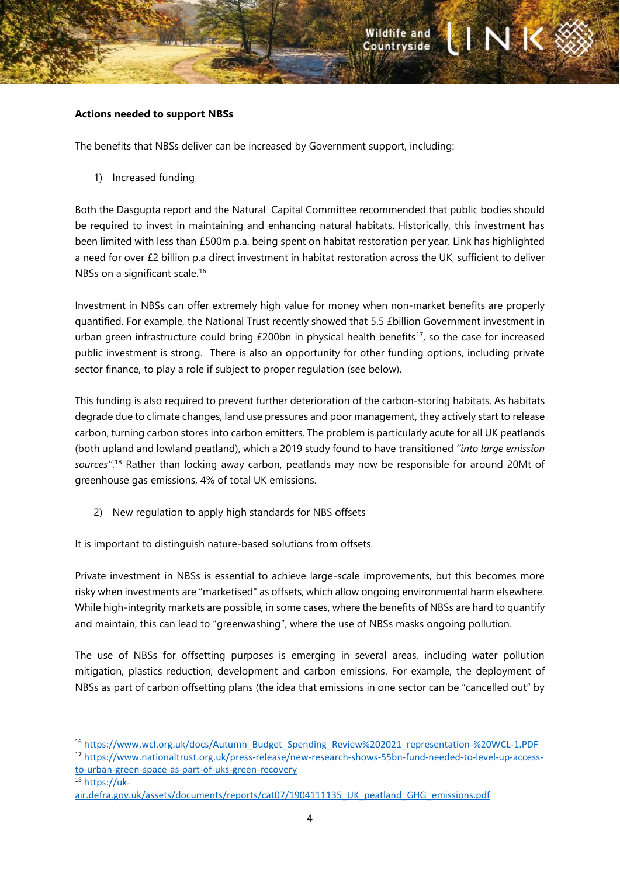#### **Actions needed to support NBSs**

The benefits that NBSs deliver can be increased by Government support, including:

1) Increased funding

Both the Dasgupta report and the Natural Capital Committee recommended that public bodies should be required to invest in maintaining and enhancing natural habitats. Historically, this investment has been limited with less than £500m p.a. being spent on habitat restoration per year. Link has highlighted a need for over £2 billion p.a direct investment in habitat restoration across the UK, sufficient to deliver NBSs on a significant scale.<sup>16</sup>

Investment in NBSs can offer extremely high value for money when non-market benefits are properly quantified. For example, the National Trust recently showed that 5.5 £billion Government investment in urban green infrastructure could bring £200bn in physical health benefits<sup>17</sup>, so the case for increased public investment is strong. There is also an opportunity for other funding options, including private sector finance, to play a role if subject to proper regulation (see below).

This funding is also required to prevent further deterioration of the carbon-storing habitats. As habitats degrade due to climate changes, land use pressures and poor management, they actively start to release carbon, turning carbon stores into carbon emitters. The problem is particularly acute for all UK peatlands (both upland and lowland peatland), which a 2019 study found to have transitioned *''into large emission sources''*. <sup>18</sup> Rather than locking away carbon, peatlands may now be responsible for around 20Mt of greenhouse gas emissions, 4% of total UK emissions.

2) New regulation to apply high standards for NBS offsets

It is important to distinguish nature-based solutions from offsets.

Private investment in NBSs is essential to achieve large-scale improvements, but this becomes more risky when investments are "marketised" as offsets, which allow ongoing environmental harm elsewhere. While high-integrity markets are possible, in some cases, where the benefits of NBSs are hard to quantify and maintain, this can lead to "greenwashing", where the use of NBSs masks ongoing pollution.

The use of NBSs for offsetting purposes is emerging in several areas, including water pollution mitigation, plastics reduction, development and carbon emissions. For example, the deployment of NBSs as part of carbon offsetting plans (the idea that emissions in one sector can be "cancelled out" by

<sup>16</sup> [https://www.wcl.org.uk/docs/Autumn\\_Budget\\_Spending\\_Review%202021\\_representation-%20WCL-1.PDF](https://www.wcl.org.uk/docs/Autumn_Budget_Spending_Review%202021_representation-%20WCL-1.PDF)

<sup>17</sup> [https://www.nationaltrust.org.uk/press-release/new-research-shows-55bn-fund-needed-to-level-up-access](https://www.nationaltrust.org.uk/press-release/new-research-shows-55bn-fund-needed-to-level-up-access-to-urban-green-space-as-part-of-uks-green-recovery)[to-urban-green-space-as-part-of-uks-green-recovery](https://www.nationaltrust.org.uk/press-release/new-research-shows-55bn-fund-needed-to-level-up-access-to-urban-green-space-as-part-of-uks-green-recovery)

<sup>18</sup> [https://uk-](https://uk-air.defra.gov.uk/assets/documents/reports/cat07/1904111135_UK_peatland_GHG_emissions.pdf)

air.defra.gov.uk/assets/documents/reports/cat07/1904111135 UK peatland GHG emissions.pdf